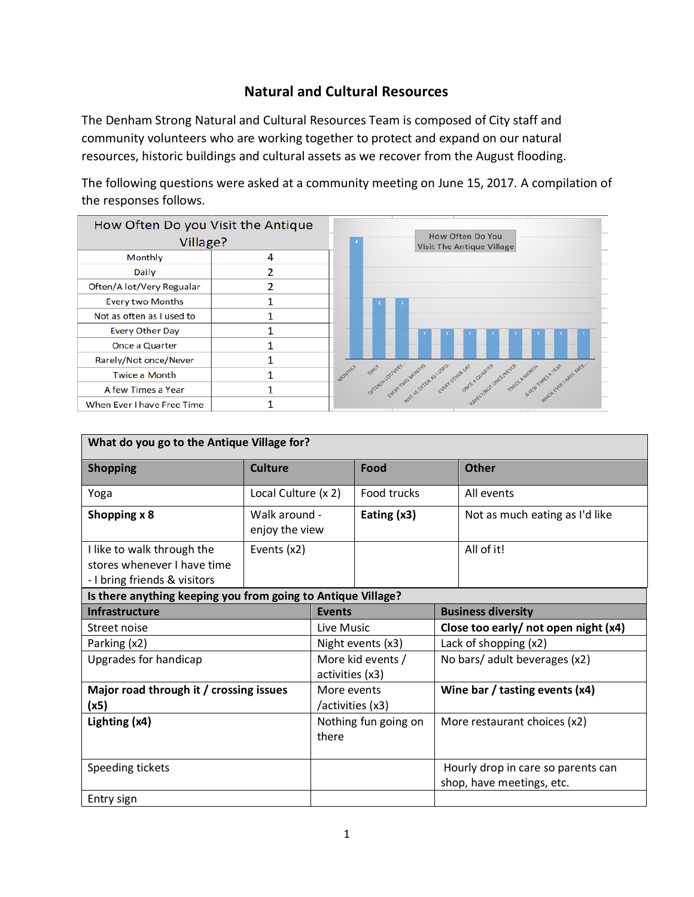## **Natural and Cultural Resources**

The Denham Strong Natural and Cultural Resources Team is composed of City staff and community volunteers who are working together to protect and expand on our natural resources, historic buildings and cultural assets as we recover from the August flooding.

The following questions were asked at a community meeting on June 15, 2017. A compilation of the responses follows.



| What do you go to the Antique Village for?                                                |                                 |                                      |                      |  |                                                                 |  |
|-------------------------------------------------------------------------------------------|---------------------------------|--------------------------------------|----------------------|--|-----------------------------------------------------------------|--|
| <b>Shopping</b>                                                                           | <b>Culture</b>                  |                                      | Food                 |  | <b>Other</b>                                                    |  |
| Yoga                                                                                      | Local Culture (x 2)             |                                      | <b>Food trucks</b>   |  | All events                                                      |  |
| Shopping x 8                                                                              | Walk around -<br>enjoy the view |                                      | Eating $(x3)$        |  | Not as much eating as I'd like                                  |  |
| I like to walk through the<br>stores whenever I have time<br>- I bring friends & visitors | Events (x2)                     |                                      |                      |  | All of it!                                                      |  |
| Is there anything keeping you from going to Antique Village?                              |                                 |                                      |                      |  |                                                                 |  |
| <b>Infrastructure</b>                                                                     |                                 | <b>Events</b>                        |                      |  | <b>Business diversity</b>                                       |  |
| Street noise                                                                              |                                 | Live Music                           |                      |  | Close too early/ not open night (x4)                            |  |
| Parking (x2)                                                                              |                                 | Night events (x3)                    |                      |  | Lack of shopping (x2)                                           |  |
| Upgrades for handicap                                                                     |                                 | More kid events /<br>activities (x3) |                      |  | No bars/ adult beverages (x2)                                   |  |
| Major road through it / crossing issues<br>(x5)                                           |                                 | More events<br>/activities (x3)      |                      |  | Wine bar / tasting events $(x4)$                                |  |
| Lighting (x4)                                                                             |                                 | there                                | Nothing fun going on |  | More restaurant choices (x2)                                    |  |
| Speeding tickets                                                                          |                                 |                                      |                      |  | Hourly drop in care so parents can<br>shop, have meetings, etc. |  |
| Entry sign                                                                                |                                 |                                      |                      |  |                                                                 |  |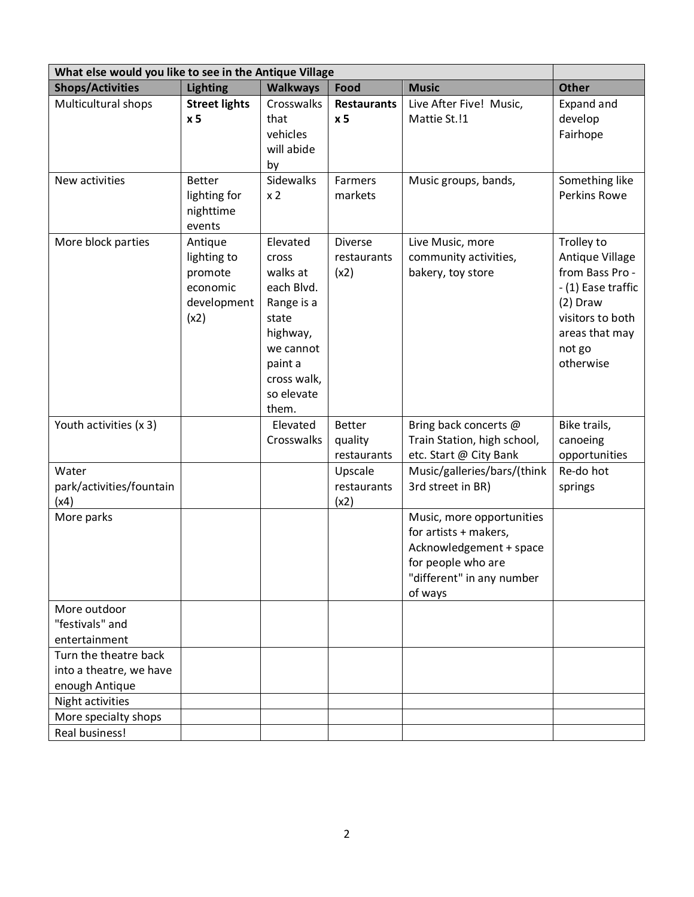| <b>Shops/Activities</b><br><b>Music</b><br><b>Lighting</b><br><b>Walkways</b><br>Food<br><b>Other</b><br>Multicultural shops<br><b>Street lights</b><br>Crosswalks<br>Live After Five! Music,<br><b>Restaurants</b><br>Expand and<br>Mattie St.!1<br>develop<br>x <sub>5</sub><br>that<br>x <sub>5</sub><br>vehicles<br>Fairhope<br>will abide<br>by<br><b>Sidewalks</b><br>Farmers<br>New activities<br><b>Better</b><br>Music groups, bands,<br>Something like<br><b>Perkins Rowe</b><br>lighting for<br>x <sub>2</sub><br>markets<br>nighttime<br>events<br>More block parties<br>Elevated<br><b>Diverse</b><br>Trolley to<br>Antique<br>Live Music, more<br>lighting to<br>community activities,<br>Antique Village<br>restaurants<br><b>Cross</b><br>from Bass Pro -<br>walks at<br>bakery, toy store<br>promote<br>(x2)<br>economic<br>each Blvd.<br>- (1) Ease traffic<br>development<br>Range is a<br>$(2)$ Draw<br>visitors to both<br>(x2)<br>state<br>highway,<br>areas that may<br>not go<br>we cannot<br>otherwise<br>paint a<br>cross walk,<br>so elevate<br>them.<br>Youth activities (x 3)<br>Elevated<br><b>Better</b><br>Bring back concerts @<br>Bike trails,<br>quality<br>Train Station, high school,<br>canoeing<br>Crosswalks<br>etc. Start @ City Bank<br>opportunities<br>restaurants<br>Water<br>Music/galleries/bars/(think<br>Re-do hot<br>Upscale<br>3rd street in BR)<br>park/activities/fountain<br>restaurants<br>springs | What else would you like to see in the Antique Village |  |  |      |  |  |  |
|-----------------------------------------------------------------------------------------------------------------------------------------------------------------------------------------------------------------------------------------------------------------------------------------------------------------------------------------------------------------------------------------------------------------------------------------------------------------------------------------------------------------------------------------------------------------------------------------------------------------------------------------------------------------------------------------------------------------------------------------------------------------------------------------------------------------------------------------------------------------------------------------------------------------------------------------------------------------------------------------------------------------------------------------------------------------------------------------------------------------------------------------------------------------------------------------------------------------------------------------------------------------------------------------------------------------------------------------------------------------------------------------------------------------------------------------------------------|--------------------------------------------------------|--|--|------|--|--|--|
|                                                                                                                                                                                                                                                                                                                                                                                                                                                                                                                                                                                                                                                                                                                                                                                                                                                                                                                                                                                                                                                                                                                                                                                                                                                                                                                                                                                                                                                           |                                                        |  |  |      |  |  |  |
|                                                                                                                                                                                                                                                                                                                                                                                                                                                                                                                                                                                                                                                                                                                                                                                                                                                                                                                                                                                                                                                                                                                                                                                                                                                                                                                                                                                                                                                           |                                                        |  |  |      |  |  |  |
|                                                                                                                                                                                                                                                                                                                                                                                                                                                                                                                                                                                                                                                                                                                                                                                                                                                                                                                                                                                                                                                                                                                                                                                                                                                                                                                                                                                                                                                           |                                                        |  |  |      |  |  |  |
|                                                                                                                                                                                                                                                                                                                                                                                                                                                                                                                                                                                                                                                                                                                                                                                                                                                                                                                                                                                                                                                                                                                                                                                                                                                                                                                                                                                                                                                           |                                                        |  |  |      |  |  |  |
|                                                                                                                                                                                                                                                                                                                                                                                                                                                                                                                                                                                                                                                                                                                                                                                                                                                                                                                                                                                                                                                                                                                                                                                                                                                                                                                                                                                                                                                           |                                                        |  |  |      |  |  |  |
|                                                                                                                                                                                                                                                                                                                                                                                                                                                                                                                                                                                                                                                                                                                                                                                                                                                                                                                                                                                                                                                                                                                                                                                                                                                                                                                                                                                                                                                           |                                                        |  |  |      |  |  |  |
|                                                                                                                                                                                                                                                                                                                                                                                                                                                                                                                                                                                                                                                                                                                                                                                                                                                                                                                                                                                                                                                                                                                                                                                                                                                                                                                                                                                                                                                           |                                                        |  |  |      |  |  |  |
|                                                                                                                                                                                                                                                                                                                                                                                                                                                                                                                                                                                                                                                                                                                                                                                                                                                                                                                                                                                                                                                                                                                                                                                                                                                                                                                                                                                                                                                           |                                                        |  |  |      |  |  |  |
|                                                                                                                                                                                                                                                                                                                                                                                                                                                                                                                                                                                                                                                                                                                                                                                                                                                                                                                                                                                                                                                                                                                                                                                                                                                                                                                                                                                                                                                           |                                                        |  |  |      |  |  |  |
|                                                                                                                                                                                                                                                                                                                                                                                                                                                                                                                                                                                                                                                                                                                                                                                                                                                                                                                                                                                                                                                                                                                                                                                                                                                                                                                                                                                                                                                           |                                                        |  |  |      |  |  |  |
|                                                                                                                                                                                                                                                                                                                                                                                                                                                                                                                                                                                                                                                                                                                                                                                                                                                                                                                                                                                                                                                                                                                                                                                                                                                                                                                                                                                                                                                           |                                                        |  |  |      |  |  |  |
|                                                                                                                                                                                                                                                                                                                                                                                                                                                                                                                                                                                                                                                                                                                                                                                                                                                                                                                                                                                                                                                                                                                                                                                                                                                                                                                                                                                                                                                           |                                                        |  |  |      |  |  |  |
|                                                                                                                                                                                                                                                                                                                                                                                                                                                                                                                                                                                                                                                                                                                                                                                                                                                                                                                                                                                                                                                                                                                                                                                                                                                                                                                                                                                                                                                           |                                                        |  |  |      |  |  |  |
|                                                                                                                                                                                                                                                                                                                                                                                                                                                                                                                                                                                                                                                                                                                                                                                                                                                                                                                                                                                                                                                                                                                                                                                                                                                                                                                                                                                                                                                           |                                                        |  |  |      |  |  |  |
|                                                                                                                                                                                                                                                                                                                                                                                                                                                                                                                                                                                                                                                                                                                                                                                                                                                                                                                                                                                                                                                                                                                                                                                                                                                                                                                                                                                                                                                           |                                                        |  |  |      |  |  |  |
|                                                                                                                                                                                                                                                                                                                                                                                                                                                                                                                                                                                                                                                                                                                                                                                                                                                                                                                                                                                                                                                                                                                                                                                                                                                                                                                                                                                                                                                           |                                                        |  |  |      |  |  |  |
|                                                                                                                                                                                                                                                                                                                                                                                                                                                                                                                                                                                                                                                                                                                                                                                                                                                                                                                                                                                                                                                                                                                                                                                                                                                                                                                                                                                                                                                           |                                                        |  |  |      |  |  |  |
|                                                                                                                                                                                                                                                                                                                                                                                                                                                                                                                                                                                                                                                                                                                                                                                                                                                                                                                                                                                                                                                                                                                                                                                                                                                                                                                                                                                                                                                           |                                                        |  |  |      |  |  |  |
|                                                                                                                                                                                                                                                                                                                                                                                                                                                                                                                                                                                                                                                                                                                                                                                                                                                                                                                                                                                                                                                                                                                                                                                                                                                                                                                                                                                                                                                           |                                                        |  |  |      |  |  |  |
|                                                                                                                                                                                                                                                                                                                                                                                                                                                                                                                                                                                                                                                                                                                                                                                                                                                                                                                                                                                                                                                                                                                                                                                                                                                                                                                                                                                                                                                           |                                                        |  |  |      |  |  |  |
|                                                                                                                                                                                                                                                                                                                                                                                                                                                                                                                                                                                                                                                                                                                                                                                                                                                                                                                                                                                                                                                                                                                                                                                                                                                                                                                                                                                                                                                           |                                                        |  |  |      |  |  |  |
|                                                                                                                                                                                                                                                                                                                                                                                                                                                                                                                                                                                                                                                                                                                                                                                                                                                                                                                                                                                                                                                                                                                                                                                                                                                                                                                                                                                                                                                           |                                                        |  |  |      |  |  |  |
|                                                                                                                                                                                                                                                                                                                                                                                                                                                                                                                                                                                                                                                                                                                                                                                                                                                                                                                                                                                                                                                                                                                                                                                                                                                                                                                                                                                                                                                           |                                                        |  |  |      |  |  |  |
|                                                                                                                                                                                                                                                                                                                                                                                                                                                                                                                                                                                                                                                                                                                                                                                                                                                                                                                                                                                                                                                                                                                                                                                                                                                                                                                                                                                                                                                           |                                                        |  |  |      |  |  |  |
|                                                                                                                                                                                                                                                                                                                                                                                                                                                                                                                                                                                                                                                                                                                                                                                                                                                                                                                                                                                                                                                                                                                                                                                                                                                                                                                                                                                                                                                           |                                                        |  |  |      |  |  |  |
|                                                                                                                                                                                                                                                                                                                                                                                                                                                                                                                                                                                                                                                                                                                                                                                                                                                                                                                                                                                                                                                                                                                                                                                                                                                                                                                                                                                                                                                           |                                                        |  |  |      |  |  |  |
|                                                                                                                                                                                                                                                                                                                                                                                                                                                                                                                                                                                                                                                                                                                                                                                                                                                                                                                                                                                                                                                                                                                                                                                                                                                                                                                                                                                                                                                           | (x4)                                                   |  |  | (x2) |  |  |  |
| More parks<br>Music, more opportunities                                                                                                                                                                                                                                                                                                                                                                                                                                                                                                                                                                                                                                                                                                                                                                                                                                                                                                                                                                                                                                                                                                                                                                                                                                                                                                                                                                                                                   |                                                        |  |  |      |  |  |  |
| for artists + makers,                                                                                                                                                                                                                                                                                                                                                                                                                                                                                                                                                                                                                                                                                                                                                                                                                                                                                                                                                                                                                                                                                                                                                                                                                                                                                                                                                                                                                                     |                                                        |  |  |      |  |  |  |
| Acknowledgement + space                                                                                                                                                                                                                                                                                                                                                                                                                                                                                                                                                                                                                                                                                                                                                                                                                                                                                                                                                                                                                                                                                                                                                                                                                                                                                                                                                                                                                                   |                                                        |  |  |      |  |  |  |
| for people who are                                                                                                                                                                                                                                                                                                                                                                                                                                                                                                                                                                                                                                                                                                                                                                                                                                                                                                                                                                                                                                                                                                                                                                                                                                                                                                                                                                                                                                        |                                                        |  |  |      |  |  |  |
| "different" in any number                                                                                                                                                                                                                                                                                                                                                                                                                                                                                                                                                                                                                                                                                                                                                                                                                                                                                                                                                                                                                                                                                                                                                                                                                                                                                                                                                                                                                                 |                                                        |  |  |      |  |  |  |
| of ways                                                                                                                                                                                                                                                                                                                                                                                                                                                                                                                                                                                                                                                                                                                                                                                                                                                                                                                                                                                                                                                                                                                                                                                                                                                                                                                                                                                                                                                   |                                                        |  |  |      |  |  |  |
| More outdoor                                                                                                                                                                                                                                                                                                                                                                                                                                                                                                                                                                                                                                                                                                                                                                                                                                                                                                                                                                                                                                                                                                                                                                                                                                                                                                                                                                                                                                              |                                                        |  |  |      |  |  |  |
| "festivals" and                                                                                                                                                                                                                                                                                                                                                                                                                                                                                                                                                                                                                                                                                                                                                                                                                                                                                                                                                                                                                                                                                                                                                                                                                                                                                                                                                                                                                                           |                                                        |  |  |      |  |  |  |
| entertainment                                                                                                                                                                                                                                                                                                                                                                                                                                                                                                                                                                                                                                                                                                                                                                                                                                                                                                                                                                                                                                                                                                                                                                                                                                                                                                                                                                                                                                             |                                                        |  |  |      |  |  |  |
| Turn the theatre back                                                                                                                                                                                                                                                                                                                                                                                                                                                                                                                                                                                                                                                                                                                                                                                                                                                                                                                                                                                                                                                                                                                                                                                                                                                                                                                                                                                                                                     |                                                        |  |  |      |  |  |  |
| into a theatre, we have<br>enough Antique                                                                                                                                                                                                                                                                                                                                                                                                                                                                                                                                                                                                                                                                                                                                                                                                                                                                                                                                                                                                                                                                                                                                                                                                                                                                                                                                                                                                                 |                                                        |  |  |      |  |  |  |
| Night activities                                                                                                                                                                                                                                                                                                                                                                                                                                                                                                                                                                                                                                                                                                                                                                                                                                                                                                                                                                                                                                                                                                                                                                                                                                                                                                                                                                                                                                          |                                                        |  |  |      |  |  |  |
| More specialty shops                                                                                                                                                                                                                                                                                                                                                                                                                                                                                                                                                                                                                                                                                                                                                                                                                                                                                                                                                                                                                                                                                                                                                                                                                                                                                                                                                                                                                                      |                                                        |  |  |      |  |  |  |
| Real business!                                                                                                                                                                                                                                                                                                                                                                                                                                                                                                                                                                                                                                                                                                                                                                                                                                                                                                                                                                                                                                                                                                                                                                                                                                                                                                                                                                                                                                            |                                                        |  |  |      |  |  |  |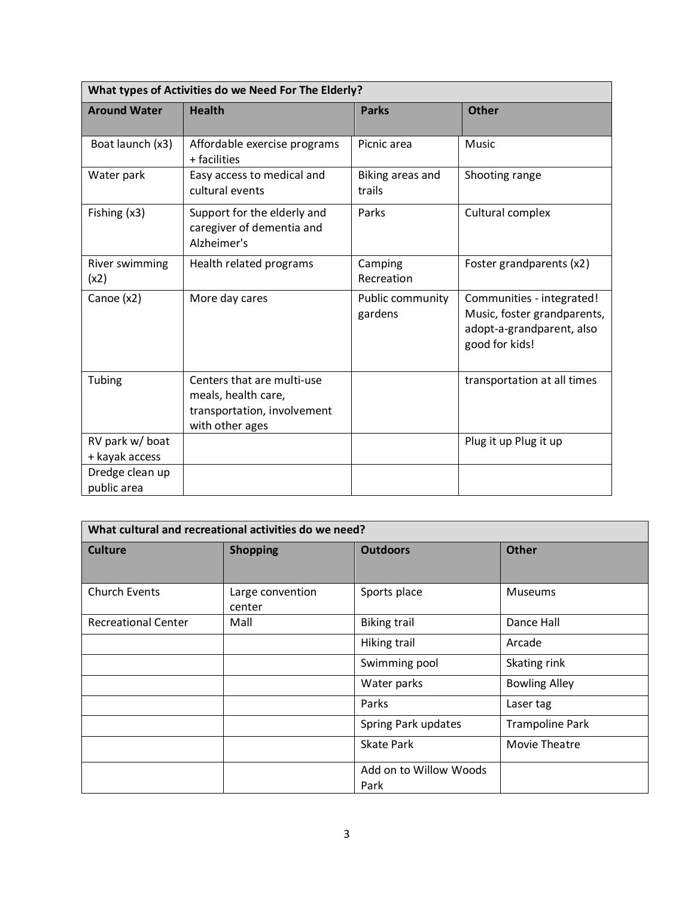| What types of Activities do we Need For The Elderly? |                                                                                                     |                             |                                                                                                         |  |  |
|------------------------------------------------------|-----------------------------------------------------------------------------------------------------|-----------------------------|---------------------------------------------------------------------------------------------------------|--|--|
| <b>Around Water</b>                                  | <b>Health</b>                                                                                       | <b>Parks</b>                | <b>Other</b>                                                                                            |  |  |
| Boat launch (x3)                                     | Affordable exercise programs<br>+ facilities                                                        | Picnic area                 | Music                                                                                                   |  |  |
| Water park                                           | Easy access to medical and<br>cultural events                                                       | Biking areas and<br>trails  | Shooting range                                                                                          |  |  |
| Fishing (x3)                                         | Support for the elderly and<br>caregiver of dementia and<br>Alzheimer's                             | Parks                       | Cultural complex                                                                                        |  |  |
| River swimming<br>(x2)                               | Health related programs                                                                             | Camping<br>Recreation       | Foster grandparents (x2)                                                                                |  |  |
| Canoe (x2)                                           | More day cares                                                                                      | Public community<br>gardens | Communities - integrated!<br>Music, foster grandparents,<br>adopt-a-grandparent, also<br>good for kids! |  |  |
| Tubing                                               | Centers that are multi-use<br>meals, health care,<br>transportation, involvement<br>with other ages |                             | transportation at all times                                                                             |  |  |
| RV park w/ boat<br>+ kayak access                    |                                                                                                     |                             | Plug it up Plug it up                                                                                   |  |  |
| Dredge clean up<br>public area                       |                                                                                                     |                             |                                                                                                         |  |  |

| What cultural and recreational activities do we need? |                            |                                |                        |  |  |
|-------------------------------------------------------|----------------------------|--------------------------------|------------------------|--|--|
| <b>Culture</b>                                        | <b>Shopping</b>            | <b>Outdoors</b>                | <b>Other</b>           |  |  |
| <b>Church Events</b>                                  | Large convention<br>center | Sports place                   | <b>Museums</b>         |  |  |
| <b>Recreational Center</b>                            | Mall                       | <b>Biking trail</b>            | Dance Hall             |  |  |
|                                                       |                            | Hiking trail                   | Arcade                 |  |  |
|                                                       |                            | Swimming pool                  | Skating rink           |  |  |
|                                                       |                            | Water parks                    | <b>Bowling Alley</b>   |  |  |
|                                                       |                            | Parks                          | Laser tag              |  |  |
|                                                       |                            | Spring Park updates            | <b>Trampoline Park</b> |  |  |
|                                                       |                            | <b>Skate Park</b>              | Movie Theatre          |  |  |
|                                                       |                            | Add on to Willow Woods<br>Park |                        |  |  |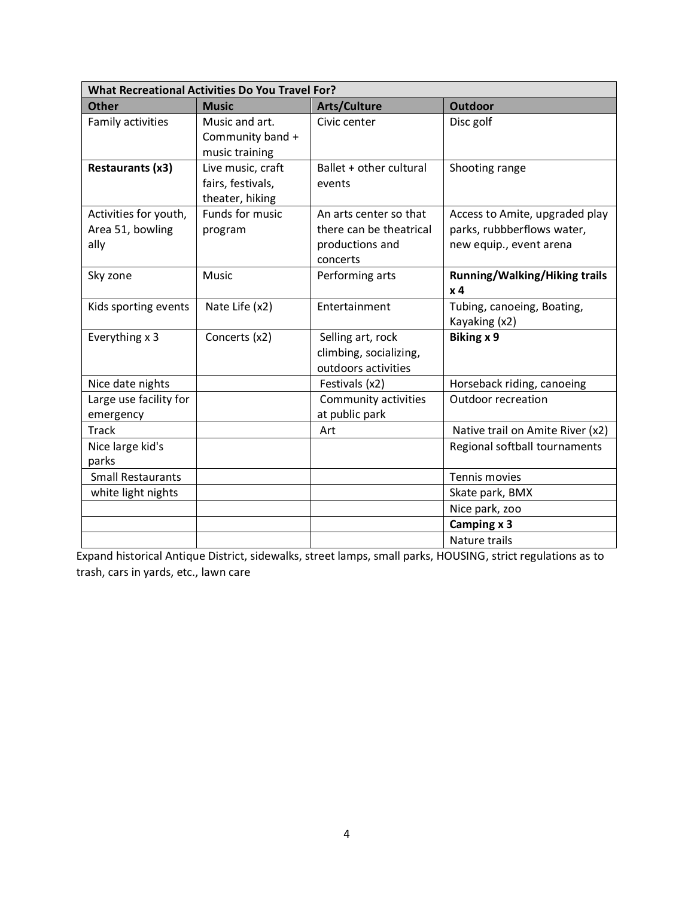| <b>What Recreational Activities Do You Travel For?</b> |                                                           |                                                                                  |                                                                                         |  |  |
|--------------------------------------------------------|-----------------------------------------------------------|----------------------------------------------------------------------------------|-----------------------------------------------------------------------------------------|--|--|
| <b>Other</b>                                           | <b>Music</b>                                              | <b>Arts/Culture</b>                                                              | <b>Outdoor</b>                                                                          |  |  |
| Family activities                                      | Music and art.<br>Community band +<br>music training      | Civic center                                                                     | Disc golf                                                                               |  |  |
| Restaurants (x3)                                       | Live music, craft<br>fairs, festivals,<br>theater, hiking | Ballet + other cultural<br>events                                                | Shooting range                                                                          |  |  |
| Activities for youth,<br>Area 51, bowling<br>ally      | Funds for music<br>program                                | An arts center so that<br>there can be theatrical<br>productions and<br>concerts | Access to Amite, upgraded play<br>parks, rubbberflows water,<br>new equip., event arena |  |  |
| Sky zone                                               | Music                                                     | Performing arts                                                                  | <b>Running/Walking/Hiking trails</b><br>x <sub>4</sub>                                  |  |  |
| Kids sporting events                                   | Nate Life (x2)                                            | Entertainment                                                                    | Tubing, canoeing, Boating,<br>Kayaking (x2)                                             |  |  |
| Everything x 3                                         | Concerts (x2)                                             | Selling art, rock<br>climbing, socializing,<br>outdoors activities               | Biking x 9                                                                              |  |  |
| Nice date nights                                       |                                                           | Festivals (x2)                                                                   | Horseback riding, canoeing                                                              |  |  |
| Large use facility for<br>emergency                    |                                                           | Community activities<br>at public park                                           | Outdoor recreation                                                                      |  |  |
| <b>Track</b>                                           |                                                           | Art                                                                              | Native trail on Amite River (x2)                                                        |  |  |
| Nice large kid's<br>parks                              |                                                           |                                                                                  | Regional softball tournaments                                                           |  |  |
| <b>Small Restaurants</b>                               |                                                           |                                                                                  | Tennis movies                                                                           |  |  |
| white light nights                                     |                                                           |                                                                                  | Skate park, BMX                                                                         |  |  |
|                                                        |                                                           |                                                                                  | Nice park, zoo                                                                          |  |  |
|                                                        |                                                           |                                                                                  | Camping x 3                                                                             |  |  |
|                                                        |                                                           |                                                                                  | Nature trails                                                                           |  |  |

Expand historical Antique District, sidewalks, street lamps, small parks, HOUSING, strict regulations as to trash, cars in yards, etc., lawn care